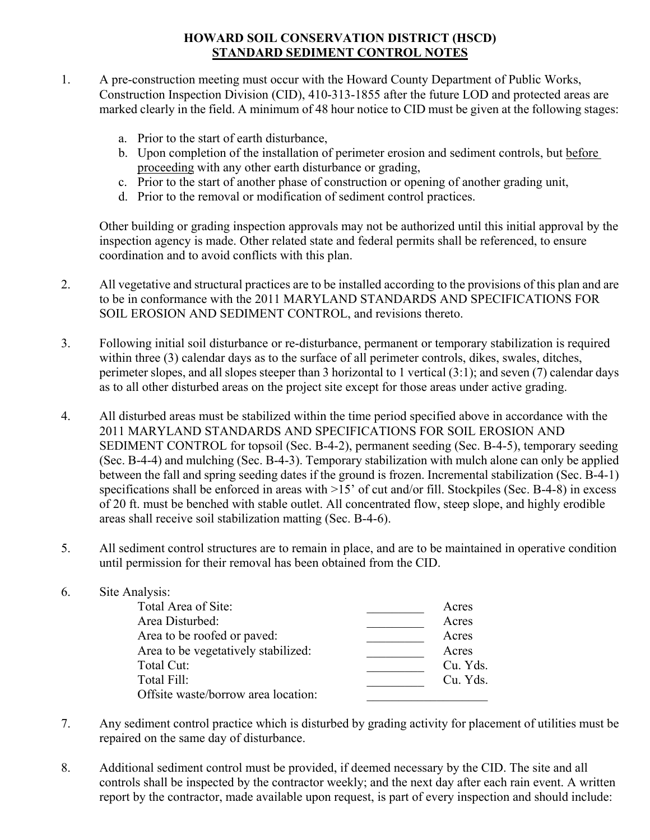## **HOWARD SOIL CONSERVATION DISTRICT (HSCD) STANDARD SEDIMENT CONTROL NOTES**

- 1. A pre-construction meeting must occur with the Howard County Department of Public Works, Construction Inspection Division (CID), 410-313-1855 after the future LOD and protected areas are marked clearly in the field. A minimum of 48 hour notice to CID must be given at the following stages:
	- a. Prior to the start of earth disturbance,
	- b. Upon completion of the installation of perimeter erosion and sediment controls, but before proceeding with any other earth disturbance or grading,
	- c. Prior to the start of another phase of construction or opening of another grading unit,
	- d. Prior to the removal or modification of sediment control practices.

Other building or grading inspection approvals may not be authorized until this initial approval by the inspection agency is made. Other related state and federal permits shall be referenced, to ensure coordination and to avoid conflicts with this plan.

- 2. All vegetative and structural practices are to be installed according to the provisions of this plan and are to be in conformance with the 2011 MARYLAND STANDARDS AND SPECIFICATIONS FOR SOIL EROSION AND SEDIMENT CONTROL, and revisions thereto.
- 3. Following initial soil disturbance or re-disturbance, permanent or temporary stabilization is required within three (3) calendar days as to the surface of all perimeter controls, dikes, swales, ditches, perimeter slopes, and all slopes steeper than 3 horizontal to 1 vertical (3:1); and seven (7) calendar days as to all other disturbed areas on the project site except for those areas under active grading.
- 4. All disturbed areas must be stabilized within the time period specified above in accordance with the 2011 MARYLAND STANDARDS AND SPECIFICATIONS FOR SOIL EROSION AND SEDIMENT CONTROL for topsoil (Sec. B-4-2), permanent seeding (Sec. B-4-5), temporary seeding (Sec. B-4-4) and mulching (Sec. B-4-3). Temporary stabilization with mulch alone can only be applied between the fall and spring seeding dates if the ground is frozen. Incremental stabilization (Sec. B-4-1) specifications shall be enforced in areas with >15' of cut and/or fill. Stockpiles (Sec. B-4-8) in excess of 20 ft. must be benched with stable outlet. All concentrated flow, steep slope, and highly erodible areas shall receive soil stabilization matting (Sec. B-4-6).
- 5. All sediment control structures are to remain in place, and are to be maintained in operative condition until permission for their removal has been obtained from the CID.

| 6. | Site Analysis:                      |          |
|----|-------------------------------------|----------|
|    | Total Area of Site:                 | Acres    |
|    | Area Disturbed:                     | Acres    |
|    | Area to be roofed or paved:         | Acres    |
|    | Area to be vegetatively stabilized: | Acres    |
|    | Total Cut:                          | Cu. Yds. |
|    | Total Fill:                         | Cu. Yds. |
|    | Offsite waste/borrow area location: |          |
|    |                                     |          |

- 7. Any sediment control practice which is disturbed by grading activity for placement of utilities must be repaired on the same day of disturbance.
- 8. Additional sediment control must be provided, if deemed necessary by the CID. The site and all controls shall be inspected by the contractor weekly; and the next day after each rain event. A written report by the contractor, made available upon request, is part of every inspection and should include: